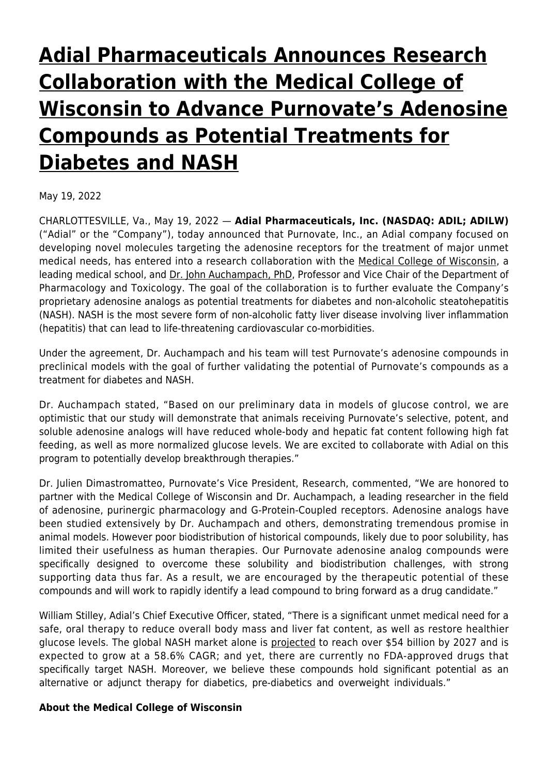# **[Adial Pharmaceuticals Announces Research](https://www.adial.com/adial-pharmaceuticals-announces-research-collaboration-with-the-medical-college-of-wisconsin-to-advance-purnovates-adenosine-compounds-as-potential-treatments-for-diabetes-and-nash/) [Collaboration with the Medical College of](https://www.adial.com/adial-pharmaceuticals-announces-research-collaboration-with-the-medical-college-of-wisconsin-to-advance-purnovates-adenosine-compounds-as-potential-treatments-for-diabetes-and-nash/) [Wisconsin to Advance Purnovate's Adenosine](https://www.adial.com/adial-pharmaceuticals-announces-research-collaboration-with-the-medical-college-of-wisconsin-to-advance-purnovates-adenosine-compounds-as-potential-treatments-for-diabetes-and-nash/) [Compounds as Potential Treatments for](https://www.adial.com/adial-pharmaceuticals-announces-research-collaboration-with-the-medical-college-of-wisconsin-to-advance-purnovates-adenosine-compounds-as-potential-treatments-for-diabetes-and-nash/) [Diabetes and NASH](https://www.adial.com/adial-pharmaceuticals-announces-research-collaboration-with-the-medical-college-of-wisconsin-to-advance-purnovates-adenosine-compounds-as-potential-treatments-for-diabetes-and-nash/)**

May 19, 2022

CHARLOTTESVILLE, Va., May 19, 2022 — **Adial Pharmaceuticals, Inc. (NASDAQ: ADIL; ADILW)** ("Adial" or the "Company"), today announced that Purnovate, Inc., an Adial company focused on developing novel molecules targeting the adenosine receptors for the treatment of major unmet medical needs, has entered into a research collaboration with the [Medical College of Wisconsin,](https://www.globenewswire.com/Tracker?data=HMDhsS-L_rgUswSvgRiB7TeUCz4ITA0k5bWicAF3QO_VLIiLupIh4vzpiaI1cSxzgJvnWzAiLsAHBDUS26mBkNfjlh6EkOOZLGgM_mQSAes=) a leading medical school, and [Dr. John Auchampach, PhD](https://www.globenewswire.com/Tracker?data=C8ievuGSp56V6anM-eIUxQVMoVneVJlcqTpL7d3FYpvGXznwj7dFldKZYZN4CJR7iybmO0XbCVrgygI_-1sPpJJ_AyMDlDehbfpjGXW0cUun-9INJ3ScbdQTZfMYKagbiueCzaO_Szs3cxuSL9oDqU4M7obI_VYoNBIq9tiL1XByD_28Qu24bDjXZasX_I8C), Professor and Vice Chair of the Department of Pharmacology and Toxicology. The goal of the collaboration is to further evaluate the Company's proprietary adenosine analogs as potential treatments for diabetes and non-alcoholic steatohepatitis (NASH). NASH is the most severe form of non-alcoholic fatty liver disease involving liver inflammation (hepatitis) that can lead to life-threatening cardiovascular co-morbidities.

Under the agreement, Dr. Auchampach and his team will test Purnovate's adenosine compounds in preclinical models with the goal of further validating the potential of Purnovate's compounds as a treatment for diabetes and NASH.

Dr. Auchampach stated, "Based on our preliminary data in models of glucose control, we are optimistic that our study will demonstrate that animals receiving Purnovate's selective, potent, and soluble adenosine analogs will have reduced whole-body and hepatic fat content following high fat feeding, as well as more normalized glucose levels. We are excited to collaborate with Adial on this program to potentially develop breakthrough therapies."

Dr. Julien Dimastromatteo, Purnovate's Vice President, Research, commented, "We are honored to partner with the Medical College of Wisconsin and Dr. Auchampach, a leading researcher in the field of adenosine, purinergic pharmacology and G-Protein-Coupled receptors. Adenosine analogs have been studied extensively by Dr. Auchampach and others, demonstrating tremendous promise in animal models. However poor biodistribution of historical compounds, likely due to poor solubility, has limited their usefulness as human therapies. Our Purnovate adenosine analog compounds were specifically designed to overcome these solubility and biodistribution challenges, with strong supporting data thus far. As a result, we are encouraged by the therapeutic potential of these compounds and will work to rapidly identify a lead compound to bring forward as a drug candidate."

William Stilley, Adial's Chief Executive Officer, stated, "There is a significant unmet medical need for a safe, oral therapy to reduce overall body mass and liver fat content, as well as restore healthier glucose levels. The global NASH market alone is [projected](https://www.globenewswire.com/Tracker?data=wUZSqGYFp-TXqmD0xeF7bJl8hHDW3uCKHNdryi_fm1ioyLDTuL-c81jYZm8CfYcVCyKegYdDXeb5Y36u5FRg4xNizIsPSFMKdBhLrrEetxlHm6GJZcKUx3MfJLAXEQnEkwmrzMMqpVWVRZl5gio7BvVKL8Uyd3EKqvOdAtW7DYp0geJMWT7DpNLsqgN-hE58R7ALd3giag7nq-mJNe4ZvZw-6zl7d42AQVCHvvPehkZyhYKsJZkraIrW_BFfreh_) to reach over \$54 billion by 2027 and is expected to grow at a 58.6% CAGR; and yet, there are currently no FDA-approved drugs that specifically target NASH. Moreover, we believe these compounds hold significant potential as an alternative or adjunct therapy for diabetics, pre-diabetics and overweight individuals."

# **About the Medical College of Wisconsin**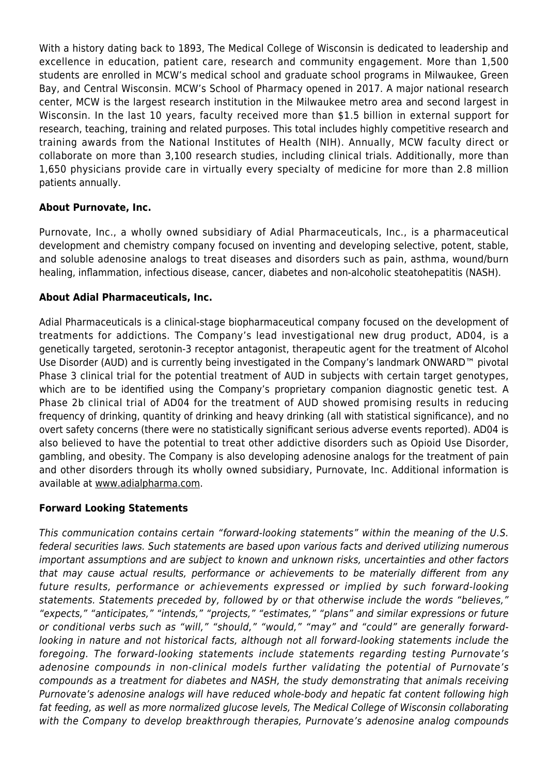With a history dating back to 1893, The Medical College of Wisconsin is dedicated to leadership and excellence in education, patient care, research and community engagement. More than 1,500 students are enrolled in MCW's medical school and graduate school programs in Milwaukee, Green Bay, and Central Wisconsin. MCW's School of Pharmacy opened in 2017. A major national research center, MCW is the largest research institution in the Milwaukee metro area and second largest in Wisconsin. In the last 10 years, faculty received more than \$1.5 billion in external support for research, teaching, training and related purposes. This total includes highly competitive research and training awards from the National Institutes of Health (NIH). Annually, MCW faculty direct or collaborate on more than 3,100 research studies, including clinical trials. Additionally, more than 1,650 physicians provide care in virtually every specialty of medicine for more than 2.8 million patients annually.

### **About Purnovate, Inc.**

Purnovate, Inc., a wholly owned subsidiary of Adial Pharmaceuticals, Inc., is a pharmaceutical development and chemistry company focused on inventing and developing selective, potent, stable, and soluble adenosine analogs to treat diseases and disorders such as pain, asthma, wound/burn healing, inflammation, infectious disease, cancer, diabetes and non-alcoholic steatohepatitis (NASH).

### **About Adial Pharmaceuticals, Inc.**

Adial Pharmaceuticals is a clinical-stage biopharmaceutical company focused on the development of treatments for addictions. The Company's lead investigational new drug product, AD04, is a genetically targeted, serotonin-3 receptor antagonist, therapeutic agent for the treatment of Alcohol Use Disorder (AUD) and is currently being investigated in the Company's landmark ONWARD™ pivotal Phase 3 clinical trial for the potential treatment of AUD in subjects with certain target genotypes, which are to be identified using the Company's proprietary companion diagnostic genetic test. A Phase 2b clinical trial of AD04 for the treatment of AUD showed promising results in reducing frequency of drinking, quantity of drinking and heavy drinking (all with statistical significance), and no overt safety concerns (there were no statistically significant serious adverse events reported). AD04 is also believed to have the potential to treat other addictive disorders such as Opioid Use Disorder, gambling, and obesity. The Company is also developing adenosine analogs for the treatment of pain and other disorders through its wholly owned subsidiary, Purnovate, Inc. Additional information is available at [www.adialpharma.com](https://www.globenewswire.com/Tracker?data=tKuK8RIDXYLeXz_0KLTNexvVbfkxoaxI6Qhzln5U5dM_BzIOcHBHdX_7NlfkYz9ESlp5UvCOkBsnLy_uoTrFKQmxMEFPl-GSLGhW4Q-oYn8=).

#### **Forward Looking Statements**

This communication contains certain "forward-looking statements" within the meaning of the U.S. federal securities laws. Such statements are based upon various facts and derived utilizing numerous important assumptions and are subject to known and unknown risks, uncertainties and other factors that may cause actual results, performance or achievements to be materially different from any future results, performance or achievements expressed or implied by such forward-looking statements. Statements preceded by, followed by or that otherwise include the words "believes," "expects," "anticipates," "intends," "projects," "estimates," "plans" and similar expressions or future or conditional verbs such as "will," "should," "would," "may" and "could" are generally forwardlooking in nature and not historical facts, although not all forward-looking statements include the foregoing. The forward-looking statements include statements regarding testing Purnovate's adenosine compounds in non-clinical models further validating the potential of Purnovate's compounds as a treatment for diabetes and NASH, the study demonstrating that animals receiving Purnovate's adenosine analogs will have reduced whole-body and hepatic fat content following high fat feeding, as well as more normalized glucose levels, The Medical College of Wisconsin collaborating with the Company to develop breakthrough therapies, Purnovate's adenosine analog compounds